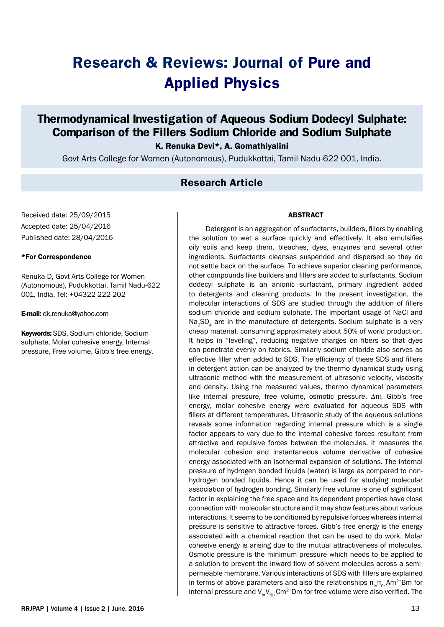# **Research & Reviews: Journal of Pure and Applied Physics**

## **Thermodynamical Investigation of Aqueous Sodium Dodecyl Sulphate: Comparison of the Fillers Sodium Chloride and Sodium Sulphate**

K. Renuka Devi\*, A. Gomathiyalini

Govt Arts College for Women (Autonomous), Pudukkottai, Tamil Nadu-622 001, India.

## **Research Article**

Received date: 25/09/2015 Accepted date: 25/04/2016 Published date: 28/04/2016

#### \*For Correspondence

Renuka D, Govt Arts College for Women (Autonomous), Pudukkottai, Tamil Nadu-622 001, India, Tel: +04322 222 202

E-mail: dk.renuka@yahoo.com

Keywords: SDS, Sodium chloride, Sodium sulphate, Molar cohesive energy, Internal pressure, Free volume, Gibb's free energy.

#### ABSTRACT

Detergent is an aggregation of surfactants, builders, fillers by enabling the solution to wet a surface quickly and effectively. It also emulsifies oily soils and keep them, bleaches, dyes, enzymes and several other ingredients. Surfactants cleanses suspended and dispersed so they do not settle back on the surface. To achieve superior cleaning performance, other compounds like builders and fillers are added to surfactants. Sodium dodecyl sulphate is an anionic surfactant, primary ingredient added to detergents and cleaning products. In the present investigation, the molecular interactions of SDS are studied through the addition of fillers sodium chloride and sodium sulphate. The important usage of NaCl and Na<sub>2</sub>SO<sub>4</sub> are in the manufacture of detergents. Sodium sulphate is a very cheap material, consuming approximately about 50% of world production. It helps in "leveling", reducing negative charges on fibers so that dyes can penetrate evenly on fabrics. Similarly sodium chloride also serves as effective filler when added to SDS. The efficiency of these SDS and fillers in detergent action can be analyzed by the thermo dynamical study using ultrasonic method with the measurement of ultrasonic velocity, viscosity and density. Using the measured values, thermo dynamical parameters like internal pressure, free volume, osmotic pressure, ∆πi, Gibb's free energy, molar cohesive energy were evaluated for aqueous SDS with fillers at different temperatures. Ultrasonic study of the aqueous solutions reveals some information regarding internal pressure which is a single factor appears to vary due to the internal cohesive forces resultant from attractive and repulsive forces between the molecules. It measures the molecular cohesion and instantaneous volume derivative of cohesive energy associated with an isothermal expansion of solutions. The internal pressure of hydrogen bonded liquids (water) is large as compared to nonhydrogen bonded liquids. Hence it can be used for studying molecular association of hydrogen bonding. Similarly free volume is one of significant factor in explaining the free space and its dependent properties have close connection with molecular structure and it may show features about various interactions. It seems to be conditioned by repulsive forces whereas internal pressure is sensitive to attractive forces. Gibb's free energy is the energy associated with a chemical reaction that can be used to do work. Molar cohesive energy is arising due to the mutual attractiveness of molecules. Osmotic pressure is the minimum pressure which needs to be applied to a solution to prevent the inward flow of solvent molecules across a semipermeable membrane. Various interactions of SDS with fillers are explained in terms of above parameters and also the relationships  $\pi_{i=1}^T \pi_{0+1} A m^{2+}B m$  for internal pressure and  $V_t$ ,  $V_{\text{eq}}$ , Cm<sup>2+</sup>Dm for free volume were also verified. The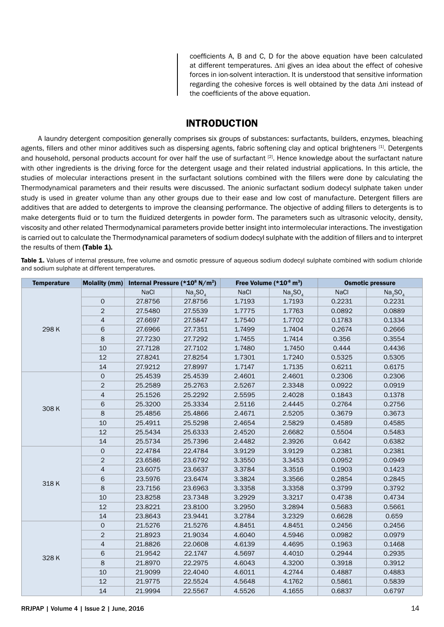coefficients A, B and C, D for the above equation have been calculated at different temperatures. ∆πi gives an idea about the effect of cohesive forces in ion-solvent interaction. It is understood that sensitive information regarding the cohesive forces is well obtained by the data ∆πi instead of the coefficients of the above equation.

## **INTRODUCTION**

A laundry detergent composition generally comprises six groups of substances: surfactants, builders, enzymes, bleaching agents, fillers and other minor additives such as dispersing agents, fabric softening clay and optical brighteners [1]. Detergents and household, personal products account for over half the use of surfactant [2]. Hence knowledge about the surfactant nature with other ingredients is the driving force for the detergent usage and their related industrial applications. In this article, the studies of molecular interactions present in the surfactant solutions combined with the fillers were done by calculating the Thermodynamical parameters and their results were discussed. The anionic surfactant sodium dodecyl sulphate taken under study is used in greater volume than any other groups due to their ease and low cost of manufacture. Detergent fillers are additives that are added to detergents to improve the cleansing performance. The objective of adding fillers to detergents is to make detergents fluid or to turn the fluidized detergents in powder form. The parameters such as ultrasonic velocity, density, viscosity and other related Thermodynamical parameters provide better insight into intermolecular interactions. The investigation is carried out to calculate the Thermodynamical parameters of sodium dodecyl sulphate with the addition of fillers and to interpret the results of them (Table 1).

Table 1. Values of internal pressure, free volume and osmotic pressure of aqueous sodium dodecyl sulphate combined with sodium chloride and sodium sulphate at different temperatures.

| <b>Temperature</b> | Molality (mm)       |         | Internal Pressure (*10 <sup>8</sup> N/m <sup>2</sup> ) |        | Free Volume (*10 <sup>-8</sup> m <sup>3</sup> ) |             | <b>Osmotic pressure</b>         |
|--------------------|---------------------|---------|--------------------------------------------------------|--------|-------------------------------------------------|-------------|---------------------------------|
| 298K               |                     | NaCl    | Na <sub>2</sub> SO <sub>4</sub>                        | NaCl   | Na <sub>2</sub> SO <sub>4</sub>                 | <b>NaCl</b> | Na <sub>2</sub> SO <sub>4</sub> |
|                    | 0                   | 27.8756 | 27.8756                                                | 1.7193 | 1.7193                                          | 0.2231      | 0.2231                          |
|                    | $\overline{c}$      | 27.5480 | 27.5539                                                | 1.7775 | 1.7763                                          | 0.0892      | 0.0889                          |
|                    | $\overline{a}$      | 27.6697 | 27.5847                                                | 1.7540 | 1.7702                                          | 0.1783      | 0.1334                          |
|                    | 6                   | 27.6966 | 27.7351                                                | 1.7499 | 1.7404                                          | 0.2674      | 0.2666                          |
|                    | 8                   | 27.7230 | 27.7292                                                | 1.7455 | 1.7414                                          | 0.356       | 0.3554                          |
|                    | 10                  | 27.7128 | 27.7102                                                | 1.7480 | 1.7450                                          | 0.444       | 0.4436                          |
|                    | 12                  | 27.8241 | 27.8254                                                | 1.7301 | 1.7240                                          | 0.5325      | 0.5305                          |
|                    | 14                  | 27.9212 | 27.8997                                                | 1.7147 | 1.7135                                          | 0.6211      | 0.6175                          |
|                    | $\mathbf 0$         | 25.4539 | 25.4539                                                | 2.4601 | 2.4601                                          | 0.2306      | 0.2306                          |
|                    | $\overline{2}$      | 25.2589 | 25.2763                                                | 2.5267 | 2.3348                                          | 0.0922      | 0.0919                          |
|                    | 4                   | 25.1526 | 25.2292                                                | 2.5595 | 2.4028                                          | 0.1843      | 0.1378                          |
|                    | 6                   | 25.3200 | 25.3334                                                | 2.5116 | 2.4445                                          | 0.2764      | 0.2756                          |
| 308K               | 8                   | 25.4856 | 25.4866                                                | 2.4671 | 2.5205                                          | 0.3679      | 0.3673                          |
|                    | 10                  | 25.4911 | 25.5298                                                | 2.4654 | 2.5829                                          | 0.4589      | 0.4585                          |
|                    | 12                  | 25.5434 | 25.6333                                                | 2.4520 | 2.6682                                          | 0.5504      | 0.5483                          |
|                    | 14                  | 25.5734 | 25.7396                                                | 2.4482 | 2.3926                                          | 0.642       | 0.6382                          |
|                    | $\mathsf{O}\xspace$ | 22.4784 | 22.4784                                                | 3.9129 | 3.9129                                          | 0.2381      | 0.2381                          |
|                    | $\overline{c}$      | 23.6586 | 23.6792                                                | 3.3550 | 3.3453                                          | 0.0952      | 0.0949                          |
|                    | 4                   | 23.6075 | 23.6637                                                | 3.3784 | 3.3516                                          | 0.1903      | 0.1423                          |
| 318K               | 6                   | 23.5976 | 23.6474                                                | 3.3824 | 3.3566                                          | 0.2854      | 0.2845                          |
|                    | 8                   | 23.7156 | 23.6963                                                | 3.3358 | 3.3358                                          | 0.3799      | 0.3792                          |
|                    | 10                  | 23.8258 | 23.7348                                                | 3.2929 | 3.3217                                          | 0.4738      | 0.4734                          |
|                    | 12                  | 23.8221 | 23.8100                                                | 3.2950 | 3.2894                                          | 0.5683      | 0.5661                          |
|                    | 14                  | 23.8643 | 23.9441                                                | 3.2784 | 3.2329                                          | 0.6628      | 0.659                           |
|                    | $\mathsf{O}\xspace$ | 21.5276 | 21.5276                                                | 4.8451 | 4.8451                                          | 0.2456      | 0.2456                          |
| 328K               | $\overline{c}$      | 21.8923 | 21.9034                                                | 4.6040 | 4.5946                                          | 0.0982      | 0.0979                          |
|                    | 4                   | 21.8826 | 22.0608                                                | 4.6139 | 4.4695                                          | 0.1963      | 0.1468                          |
|                    | 6                   | 21.9542 | 22.1747                                                | 4.5697 | 4.4010                                          | 0.2944      | 0.2935                          |
|                    | 8                   | 21.8970 | 22.2975                                                | 4.6043 | 4.3200                                          | 0.3918      | 0.3912                          |
|                    | 10                  | 21.9099 | 22.4040                                                | 4.6011 | 4.2744                                          | 0.4887      | 0.4883                          |
|                    | 12                  | 21.9775 | 22.5524                                                | 4.5648 | 4.1762                                          | 0.5861      | 0.5839                          |
|                    | 14                  | 21.9994 | 22.5567                                                | 4.5526 | 4.1655                                          | 0.6837      | 0.6797                          |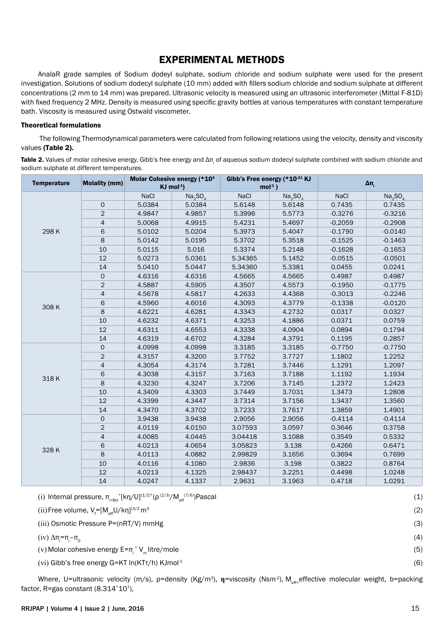## **EXPERIMENTAL METHODS**

AnalaR grade samples of Sodium dodeyl sulphate, sodium chloride and sodium sulphate were used for the present investigation. Solutions of sodium dodecyl sulphate (10 mm) added with fillers sodium chloride and sodium sulphate at different concentrations (2 mm to 14 mm) was prepared. Ultrasonic velocity is measured using an ultrasonic interferometer (Mittal F-81D) with fixed frequency 2 MHz. Density is measured using specific gravity bottles at various temperatures with constant temperature bath. Viscosity is measured using Ostwald viscometer.

#### Theoretical formulations

 The following Thermodynamical parameters were calculated from following relations using the velocity, density and viscosity values (Table 2).

**Table 2.** Values of molar cohesive energy, Gibb's free energy and Δπ<sub>i</sub> of aqueous sodium dodecyl sulphate combined with sodium chloride and sodium sulphate at different temperatures.

| <b>Temperature</b> | <b>Molality (mm)</b> |             | Molar Cohesive energy (*10 <sup>4</sup><br>$KJ$ mol <sup>-1</sup> ) | Gibb's Free energy (*10 <sup>-21</sup> KJ<br>$mol-1$ ) |                                 | $\Delta \pi$ |                                 |
|--------------------|----------------------|-------------|---------------------------------------------------------------------|--------------------------------------------------------|---------------------------------|--------------|---------------------------------|
|                    |                      | <b>NaCl</b> | Na <sub>2</sub> SO <sub>4</sub>                                     | <b>NaCl</b>                                            | Na <sub>2</sub> SO <sub>4</sub> | <b>NaCl</b>  | Na <sub>2</sub> SO <sub>4</sub> |
|                    | 0                    | 5.0384      | 5.0384                                                              | 5.6148                                                 | 5.6148                          | 0.7435       | 0.7435                          |
| 298K               | $\overline{2}$       | 4.9847      | 4.9857                                                              | 5.3996                                                 | 5.5773                          | $-0.3276$    | $-0.3216$                       |
|                    | 4                    | 5.0068      | 4.9915                                                              | 5.4231                                                 | 5.4697                          | $-0.2059$    | $-0.2908$                       |
|                    | 6                    | 5.0102      | 5.0204                                                              | 5.3973                                                 | 5.4047                          | $-0.1790$    | $-0.0140$                       |
|                    | 8                    | 5.0142      | 5.0195                                                              | 5.3702                                                 | 5.3518                          | $-0.1525$    | $-0.1463$                       |
|                    | 10                   | 5.0115      | 5.016                                                               | 5.3374                                                 | 5.2148                          | $-0.1628$    | $-0.1653$                       |
|                    | 12                   | 5.0273      | 5.0361                                                              | 5.34365                                                | 5.1452                          | $-0.0515$    | $-0.0501$                       |
|                    | 14                   | 5.0410      | 5.0447                                                              | 5.34360                                                | 5.3381                          | 0.0455       | 0.0241                          |
|                    | $\mathsf{O}\xspace$  | 4.6316      | 4.6316                                                              | 4.5665                                                 | 4.5665                          | 0.4987       | 0.4987                          |
|                    | $\mathbf{2}$         | 4.5887      | 4.5905                                                              | 4.3507                                                 | 4.5573                          | $-0.1950$    | $-0.1775$                       |
|                    | 4                    | 4.5678      | 4.5817                                                              | 4.2633                                                 | 4.4368                          | $-0.3013$    | $-0.2246$                       |
|                    | 6                    | 4.5960      | 4.6016                                                              | 4.3093                                                 | 4.3779                          | $-0.1338$    | $-0.0120$                       |
| 308K               | 8                    | 4.6221      | 4.6281                                                              | 4.3343                                                 | 4.2732                          | 0.0317       | 0.0327                          |
|                    | 10                   | 4.6232      | 4.6371                                                              | 4.3253                                                 | 4.1886                          | 0.0371       | 0.0759                          |
|                    | 12                   | 4.6311      | 4.6553                                                              | 4.3338                                                 | 4.0904                          | 0.0894       | 0.1794                          |
|                    | 14                   | 4.6319      | 4.6702                                                              | 4.3284                                                 | 4.3791                          | 0.1195       | 0.2857                          |
|                    | $\mathsf{O}$         | 4.0998      | 4.0998                                                              | 3.3185                                                 | 3.3185                          | $-0.7750$    | $-0.7750$                       |
|                    | $\overline{2}$       | 4.3157      | 4.3200                                                              | 3.7752                                                 | 3.7727                          | 1.1802       | 1.2252                          |
|                    | 4                    | 4.3054      | 4.3174                                                              | 3.7281                                                 | 3.7446                          | 1.1291       | 1.2097                          |
|                    | 6                    | 4.3038      | 4.3157                                                              | 3.7163                                                 | 3.7188                          | 1.1192       | 1.1934                          |
| 318K               | 8                    | 4.3230      | 4.3247                                                              | 3.7206                                                 | 3.7145                          | 1.2372       | 1.2423                          |
|                    | 10                   | 4.3409      | 4.3303                                                              | 3.7449                                                 | 3.7031                          | 1.3473       | 1.2808                          |
|                    | 12                   | 4.3399      | 4.3447                                                              | 3.7314                                                 | 3.7156                          | 1.3437       | 1.3560                          |
|                    | 14                   | 4.3470      | 4.3702                                                              | 3.7233                                                 | 3.7617                          | 1.3859       | 1.4901                          |
|                    | $\mathbf 0$          | 3.9438      | 3.9438                                                              | 2.9056                                                 | 2.9056                          | $-0.4114$    | $-0.4114$                       |
|                    | $\overline{c}$       | 4.0119      | 4.0150                                                              | 3.07593                                                | 3.0597                          | 0.3646       | 0.3758                          |
|                    | 4                    | 4.0085      | 4.0445                                                              | 3.04418                                                | 3.1088                          | 0.3549       | 0.5332                          |
|                    | 6                    | 4.0213      | 4.0654                                                              | 3.05823                                                | 3.138                           | 0.4266       | 0.6471                          |
| 328K               | 8                    | 4.0113      | 4.0882                                                              | 2.99829                                                | 3.1656                          | 0.3694       | 0.7699                          |
|                    | 10                   | 4.0116      | 4.1080                                                              | 2.9836                                                 | 3.198                           | 0.3822       | 0.8764                          |
|                    | 12                   | 4.0213      | 4.1325                                                              | 2.98437                                                | 3.2251                          | 0.4498       | 1.0248                          |
|                    | 14                   | 4.0247      | 4.1337                                                              | 2.9631                                                 | 3.1963                          | 0.4718       | 1.0291                          |

| (i) Internal pressure, $\pi_{i=RA^*}^k[k\eta/U]^{(1/2)*}(\rho^{(2/3)}/M_{eff}^{(7/6)})$ Pascal |     |
|------------------------------------------------------------------------------------------------|-----|
| (ii) Free volume, $V_f = [M_{\text{eff}}U/kn]^{(3/2} \text{m}^3$                               | (2) |
| $(iii)$ Osmotic Pressure P= $(nRT/V)$ mmHg                                                     | (3) |
| (iv) Δπ $=$ π $i$ -π <sub>ρ</sub>                                                              | (4) |
| (v) Molar cohesive energy $E = \pi$ , $V_{m}$ litre/mole                                       | (5) |
| (vi) Gibb's free energy $G=KT \ln(KTr/h)$ KJmol <sup>-1</sup>                                  | (6) |

Where, U=ultrasonic velocity (m/s), p=density (Kg/m<sup>3</sup>), n=viscosity (Nsm<sup>2</sup>), M<sub>eff=</sub>effective molecular weight, b=packing factor, R=gas constant  $(8.314^*10^7)$ ,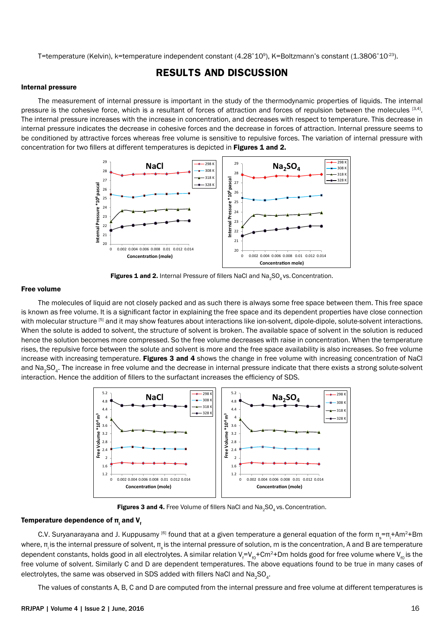T=temperature (Kelvin), k=temperature independent constant (4.28\*10<sup>9</sup>), K=Boltzmann's constant (1.3806\*10<sup>-23</sup>).

## **RESULTS AND DISCUSSION**

#### Internal pressure

The measurement of internal pressure is important in the study of the thermodynamic properties of liquids. The internal pressure is the cohesive force, which is a resultant of forces of attraction and forces of repulsion between the molecules [3,4]. The internal pressure increases with the increase in concentration, and decreases with respect to temperature. This decrease in internal pressure indicates the decrease in cohesive forces and the decrease in forces of attraction. Internal pressure seems to be conditioned by attractive forces whereas free volume is sensitive to repulsive forces. The variation of internal pressure with concentration for two fillers at different temperatures is depicted in Figures 1 and 2.



Figures 1 and 2. Internal Pressure of fillers NaCl and Na<sub>2</sub>SO<sub>4</sub> vs. Concentration.

#### Free volume

The molecules of liquid are not closely packed and as such there is always some free space between them. This free space is known as free volume. It is a significant factor in explaining the free space and its dependent properties have close connection with molecular structure [5] and it may show features about interactions like ion-solvent, dipole-dipole, solute-solvent interactions. When the solute is added to solvent, the structure of solvent is broken. The available space of solvent in the solution is reduced hence the solution becomes more compressed. So the free volume decreases with raise in concentration. When the temperature rises, the repulsive force between the solute and solvent is more and the free space availability is also increases. So free volume increase with increasing temperature. Figures 3 and 4 shows the change in free volume with increasing concentration of NaCl and Na<sub>2</sub>SO<sub>4</sub>. The increase in free volume and the decrease in internal pressure indicate that there exists a strong solute-solvent interaction. Hence the addition of fillers to the surfactant increases the efficiency of SDS.



Figures 3 and 4. Free Volume of fillers NaCl and Na<sub>2</sub>SO<sub>4</sub> vs. Concentration.

### Temperature dependence of π<sub>i</sub> and V<sub>f</sub>

C.V. Suryanarayana and J. Kuppusamy <sup>[6]</sup> found that at a given temperature a general equation of the form π<sub>s</sub>=π<sub>i</sub>+Am<sup>2</sup>+Bm where, π<sub>i</sub> is the internal pressure of solvent, π<sub>i</sub> is the internal pressure of solution, m is the concentration, A and B are temperature dependent constants, holds good in all electrolytes. A similar relation V<sub>f</sub>=V<sub>r0</sub>+Cm<sup>2</sup>+Dm holds good for free volume where V<sub>ro</sub> is the free volume of solvent. Similarly C and D are dependent temperatures. The above equations found to be true in many cases of electrolytes, the same was observed in SDS added with fillers NaCl and Na<sub>2</sub>SO<sub>4</sub>.

The values of constants A, B, C and D are computed from the internal pressure and free volume at different temperatures is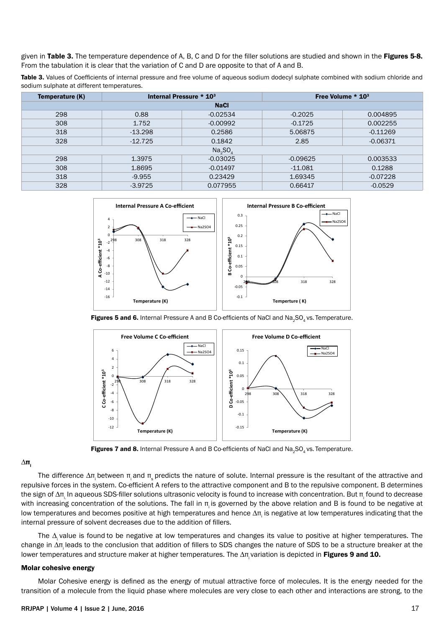given in Table 3. The temperature dependence of A, B, C and D for the filler solutions are studied and shown in the Figures 5-8. From the tabulation it is clear that the variation of C and D are opposite to that of A and B.

Table 3. Values of Coefficients of internal pressure and free volume of aqueous sodium dodecyl sulphate combined with sodium chloride and sodium sulphate at different temperatures.

| Temperature (K) | Internal Pressure $*$ 10 <sup>3</sup> |            | Free Volume $*$ 10 <sup>3</sup> |            |  |  |
|-----------------|---------------------------------------|------------|---------------------------------|------------|--|--|
| <b>NaCl</b>     |                                       |            |                                 |            |  |  |
| 298             | 0.88                                  | $-0.02534$ | $-0.2025$                       | 0.004895   |  |  |
| 308             | 1.752                                 | $-0.00992$ | $-0.1725$                       | 0.002255   |  |  |
| 318             | $-13.298$                             | 0.2586     | 5.06875                         | $-0.11269$ |  |  |
| 328             | $-12.725$                             | 0.1842     | 2.85                            | $-0.06371$ |  |  |
| Na, SO          |                                       |            |                                 |            |  |  |
| 298             | 1.3975                                | $-0.03025$ | $-0.09625$                      | 0.003533   |  |  |
| 308             | 1.8695                                | $-0.01497$ | $-11.081$                       | 0.1288     |  |  |
| 318             | $-9.955$                              | 0.23429    | 1.69345                         | $-0.07228$ |  |  |
| 328             | $-3.9725$                             | 0.077955   | 0.66417                         | $-0.0529$  |  |  |



Figures 5 and 6. Internal Pressure A and B Co-efficients of NaCl and Na<sub>3</sub>SO<sub>4</sub> vs. Temperature.



Figures 7 and 8. Internal Pressure A and B Co-efficients of NaCl and Na<sub>2</sub>SO<sub>4</sub> vs. Temperature.

#### $Δπ_i$

The difference  $Δπ$ <sub>i</sub> between π<sub>i</sub> and π<sub>ε</sub> predicts the nature of solute. Internal pressure is the resultant of the attractive and repulsive forces in the system. Co-efficient A refers to the attractive component and B to the repulsive component. B determines the sign of ∆π<sub>i.</sub> In aqueous SDS-filler solutions ultrasonic velocity is found to increase with concentration. But π<sub>i</sub> found to decrease with increasing concentration of the solutions. The fall in π is governed by the above relation and B is found to be negative at low temperatures and becomes positive at high temperatures and hence Δπ<sub>i</sub> is negative at low temperatures indicating that the internal pressure of solvent decreases due to the addition of fillers.

The ∆ value is found to be negative at low temperatures and changes its value to positive at higher temperatures. The change in ∆πi leads to the conclusion that addition of fillers to SDS changes the nature of SDS to be a structure breaker at the lower temperatures and structure maker at higher temperatures. The Δπ variation is depicted in Figures 9 and 10.

#### Molar cohesive energy

Molar Cohesive energy is defined as the energy of mutual attractive force of molecules. It is the energy needed for the transition of a molecule from the liquid phase where molecules are very close to each other and interactions are strong, to the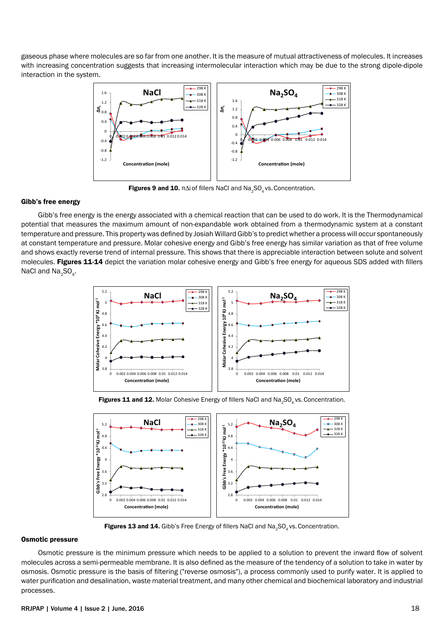gaseous phase where molecules are so far from one another. It is the measure of mutual attractiveness of molecules. It increases with increasing concentration suggests that increasing intermolecular interaction which may be due to the strong dipole-dipole interaction in the system.



Figures 9 and 10.  $\pi\Delta i$  of fillers NaCl and Na<sub>2</sub>SO<sub>4</sub> vs. Concentration.

#### Gibb's free energy

Gibb's free energy is the energy associated with a chemical reaction that can be used to do work. It is the Thermodynamical potential that measures the maximum amount of non-expandable work obtained from a thermodynamic system at a constant temperature and pressure. This property was defined by Josiah Willard Gibb's to predict whether a process will occur spontaneously at constant temperature and pressure. Molar cohesive energy and Gibb's free energy has similar variation as that of free volume and shows exactly reverse trend of internal pressure. This shows that there is appreciable interaction between solute and solvent molecules. Figures 11-14 depict the variation molar cohesive energy and Gibb's free energy for aqueous SDS added with fillers NaCl and  $Na<sub>2</sub>SO<sub>4</sub>$ .



Figures 11 and 12. Molar Cohesive Energy of fillers NaCl and Na<sub>2</sub>SO<sub>4</sub> vs. Concentration.



Figures 13 and 14. Gibb's Free Energy of fillers NaCl and Na<sub>2</sub>SO<sub>4</sub> vs. Concentration.

#### Osmotic pressure

Osmotic pressure is the minimum pressure which needs to be applied to a solution to prevent the inward flow of solvent molecules across a semi-permeable membrane. It is also defined as the measure of the tendency of a solution to take in water by [osmosis](http://en.wikipedia.org/wiki/Osmosis). Osmotic pressure is the basis of filtering ("[reverse osmosis](http://en.wikipedia.org/wiki/Reverse_osmosis)"), a process commonly used to purify water. It is applied to water purification and desalination, waste material treatment, and many other chemical and biochemical laboratory and industrial processes.